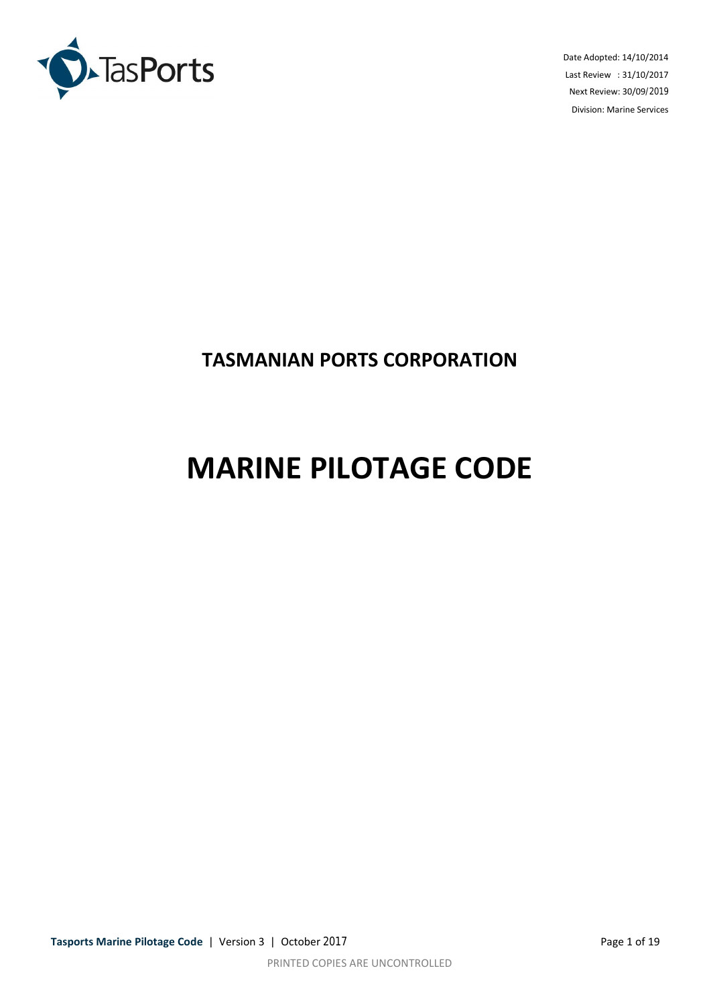

 Next Review: 30/09/2019 Division: Marine Services

# TASMANIAN PORTS CORPORATION

# MARINE PILOTAGE CODE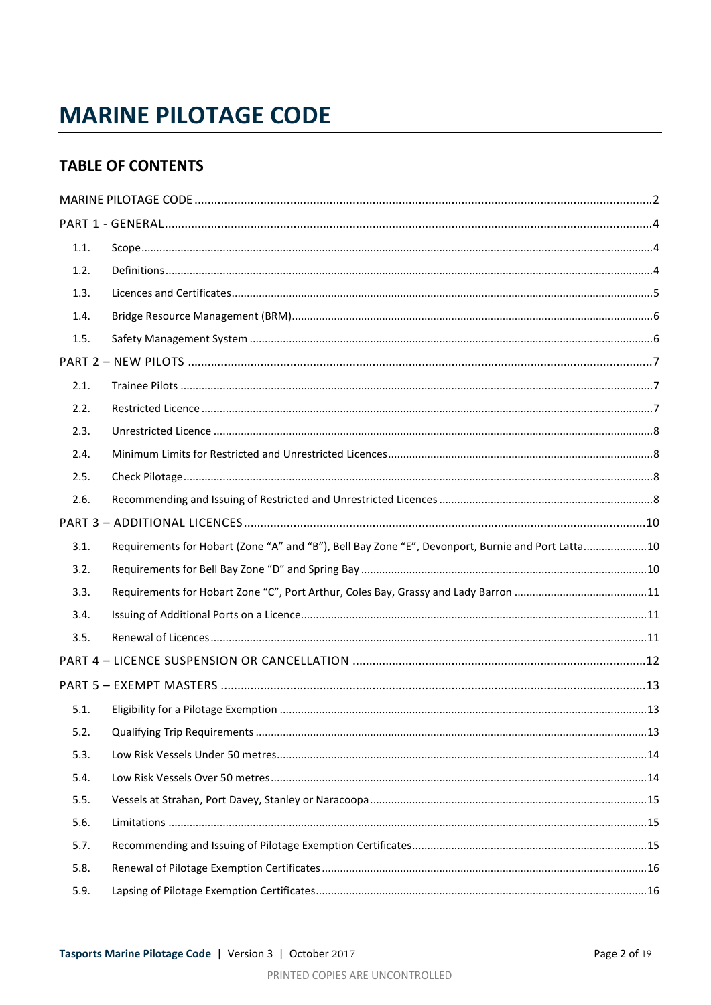# **MARINE PILOTAGE CODE**

# **TABLE OF CONTENTS**

| 1.1. |                                                                                                   |  |
|------|---------------------------------------------------------------------------------------------------|--|
| 1.2. |                                                                                                   |  |
| 1.3. |                                                                                                   |  |
| 1.4. |                                                                                                   |  |
| 1.5. |                                                                                                   |  |
|      |                                                                                                   |  |
| 2.1. |                                                                                                   |  |
| 2.2. |                                                                                                   |  |
| 2.3. |                                                                                                   |  |
| 2.4. |                                                                                                   |  |
| 2.5. |                                                                                                   |  |
| 2.6. |                                                                                                   |  |
|      |                                                                                                   |  |
| 3.1. | Requirements for Hobart (Zone "A" and "B"), Bell Bay Zone "E", Devonport, Burnie and Port Latta10 |  |
| 3.2. |                                                                                                   |  |
| 3.3. |                                                                                                   |  |
| 3.4. |                                                                                                   |  |
| 3.5. |                                                                                                   |  |
|      |                                                                                                   |  |
|      |                                                                                                   |  |
| 5.1. |                                                                                                   |  |
| 5.2. |                                                                                                   |  |
| 5.3. |                                                                                                   |  |
| 5.4. |                                                                                                   |  |
| 5.5. |                                                                                                   |  |
| 5.6. |                                                                                                   |  |
| 5.7. |                                                                                                   |  |
| 5.8. |                                                                                                   |  |
| 5.9. |                                                                                                   |  |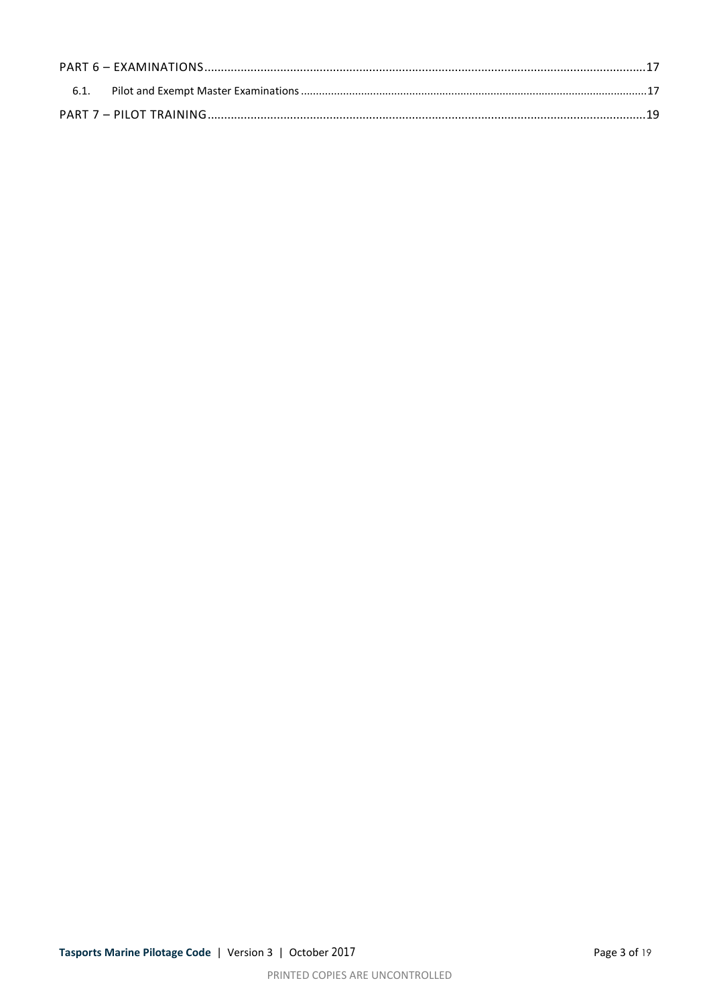| 6.1. |  |
|------|--|
|      |  |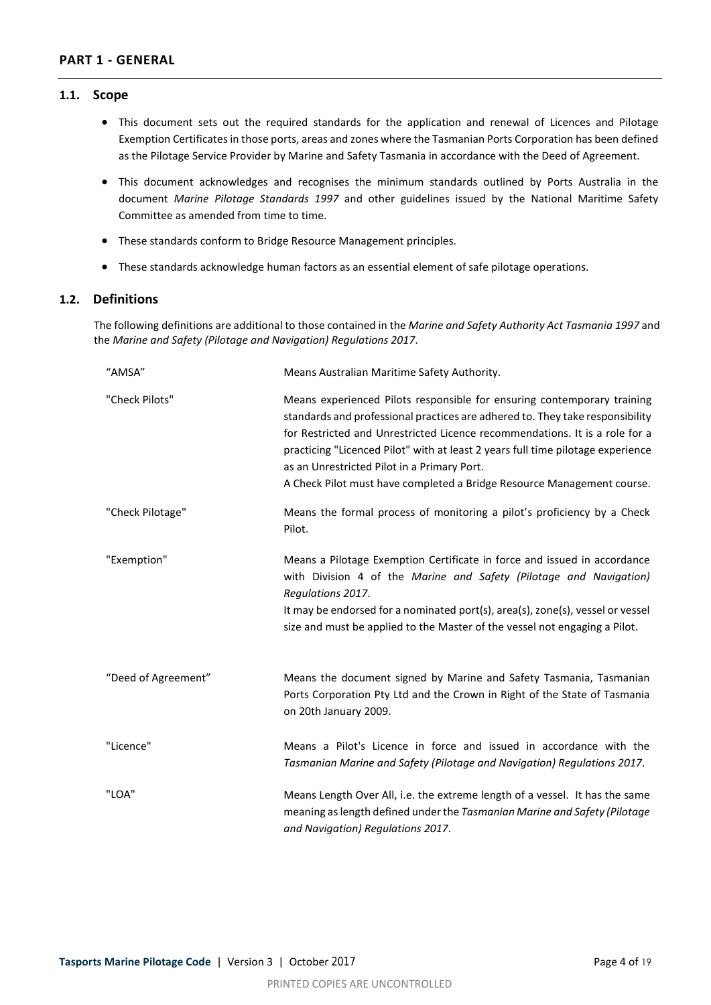#### 1.1. Scope

- This document sets out the required standards for the application and renewal of Licences and Pilotage Exemption Certificates in those ports, areas and zones where the Tasmanian Ports Corporation has been defined as the Pilotage Service Provider by Marine and Safety Tasmania in accordance with the Deed of Agreement.
- This document acknowledges and recognises the minimum standards outlined by Ports Australia in the document Marine Pilotage Standards 1997 and other guidelines issued by the National Maritime Safety Committee as amended from time to time.
- These standards conform to Bridge Resource Management principles.
- These standards acknowledge human factors as an essential element of safe pilotage operations.

### 1.2. Definitions

The following definitions are additional to those contained in the Marine and Safety Authority Act Tasmania 1997 and the Marine and Safety (Pilotage and Navigation) Regulations 2017.

| "AMSA"              | Means Australian Maritime Safety Authority.                                                                                                                                                                                                                                                                                                                                                                                                         |
|---------------------|-----------------------------------------------------------------------------------------------------------------------------------------------------------------------------------------------------------------------------------------------------------------------------------------------------------------------------------------------------------------------------------------------------------------------------------------------------|
| "Check Pilots"      | Means experienced Pilots responsible for ensuring contemporary training<br>standards and professional practices are adhered to. They take responsibility<br>for Restricted and Unrestricted Licence recommendations. It is a role for a<br>practicing "Licenced Pilot" with at least 2 years full time pilotage experience<br>as an Unrestricted Pilot in a Primary Port.<br>A Check Pilot must have completed a Bridge Resource Management course. |
| "Check Pilotage"    | Means the formal process of monitoring a pilot's proficiency by a Check<br>Pilot.                                                                                                                                                                                                                                                                                                                                                                   |
| "Exemption"         | Means a Pilotage Exemption Certificate in force and issued in accordance<br>with Division 4 of the Marine and Safety (Pilotage and Navigation)<br>Regulations 2017.<br>It may be endorsed for a nominated port(s), area(s), zone(s), vessel or vessel<br>size and must be applied to the Master of the vessel not engaging a Pilot.                                                                                                                 |
| "Deed of Agreement" | Means the document signed by Marine and Safety Tasmania, Tasmanian<br>Ports Corporation Pty Ltd and the Crown in Right of the State of Tasmania<br>on 20th January 2009.                                                                                                                                                                                                                                                                            |
| "Licence"           | Means a Pilot's Licence in force and issued in accordance with the<br>Tasmanian Marine and Safety (Pilotage and Navigation) Regulations 2017.                                                                                                                                                                                                                                                                                                       |
| "LOA"               | Means Length Over All, i.e. the extreme length of a vessel. It has the same<br>meaning as length defined under the Tasmanian Marine and Safety (Pilotage<br>and Navigation) Regulations 2017.                                                                                                                                                                                                                                                       |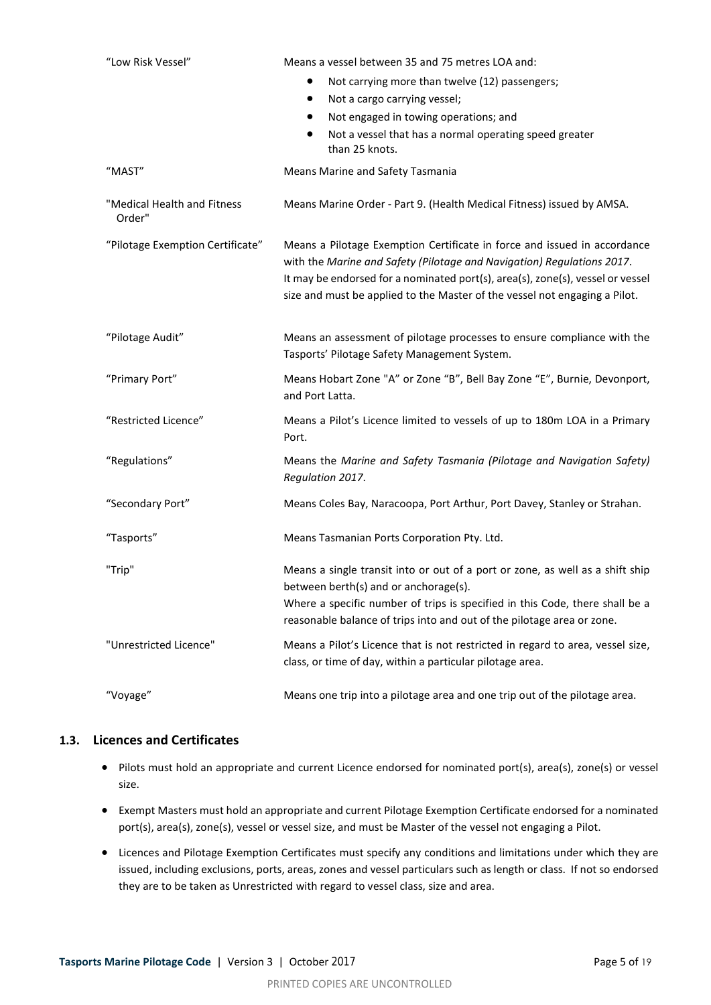| "Low Risk Vessel"                     | Means a vessel between 35 and 75 metres LOA and:<br>Not carrying more than twelve (12) passengers;<br>Not a cargo carrying vessel;<br>$\bullet$<br>Not engaged in towing operations; and<br>Not a vessel that has a normal operating speed greater<br>$\bullet$<br>than 25 knots.                                  |
|---------------------------------------|--------------------------------------------------------------------------------------------------------------------------------------------------------------------------------------------------------------------------------------------------------------------------------------------------------------------|
| "MAST"                                | Means Marine and Safety Tasmania                                                                                                                                                                                                                                                                                   |
| "Medical Health and Fitness<br>Order" | Means Marine Order - Part 9. (Health Medical Fitness) issued by AMSA.                                                                                                                                                                                                                                              |
| "Pilotage Exemption Certificate"      | Means a Pilotage Exemption Certificate in force and issued in accordance<br>with the Marine and Safety (Pilotage and Navigation) Regulations 2017.<br>It may be endorsed for a nominated port(s), area(s), zone(s), vessel or vessel<br>size and must be applied to the Master of the vessel not engaging a Pilot. |
| "Pilotage Audit"                      | Means an assessment of pilotage processes to ensure compliance with the<br>Tasports' Pilotage Safety Management System.                                                                                                                                                                                            |
| "Primary Port"                        | Means Hobart Zone "A" or Zone "B", Bell Bay Zone "E", Burnie, Devonport,<br>and Port Latta.                                                                                                                                                                                                                        |
| "Restricted Licence"                  | Means a Pilot's Licence limited to vessels of up to 180m LOA in a Primary<br>Port.                                                                                                                                                                                                                                 |
| "Regulations"                         | Means the Marine and Safety Tasmania (Pilotage and Navigation Safety)<br>Regulation 2017.                                                                                                                                                                                                                          |
| "Secondary Port"                      | Means Coles Bay, Naracoopa, Port Arthur, Port Davey, Stanley or Strahan.                                                                                                                                                                                                                                           |
| "Tasports"                            | Means Tasmanian Ports Corporation Pty. Ltd.                                                                                                                                                                                                                                                                        |
| "Trip"                                | Means a single transit into or out of a port or zone, as well as a shift ship<br>between berth(s) and or anchorage(s).<br>Where a specific number of trips is specified in this Code, there shall be a<br>reasonable balance of trips into and out of the pilotage area or zone.                                   |
| "Unrestricted Licence"                | Means a Pilot's Licence that is not restricted in regard to area, vessel size,<br>class, or time of day, within a particular pilotage area.                                                                                                                                                                        |
| "Voyage"                              | Means one trip into a pilotage area and one trip out of the pilotage area.                                                                                                                                                                                                                                         |

# 1.3. Licences and Certificates

- Pilots must hold an appropriate and current Licence endorsed for nominated port(s), area(s), zone(s) or vessel size.
- Exempt Masters must hold an appropriate and current Pilotage Exemption Certificate endorsed for a nominated port(s), area(s), zone(s), vessel or vessel size, and must be Master of the vessel not engaging a Pilot.
- Licences and Pilotage Exemption Certificates must specify any conditions and limitations under which they are issued, including exclusions, ports, areas, zones and vessel particulars such as length or class. If not so endorsed they are to be taken as Unrestricted with regard to vessel class, size and area.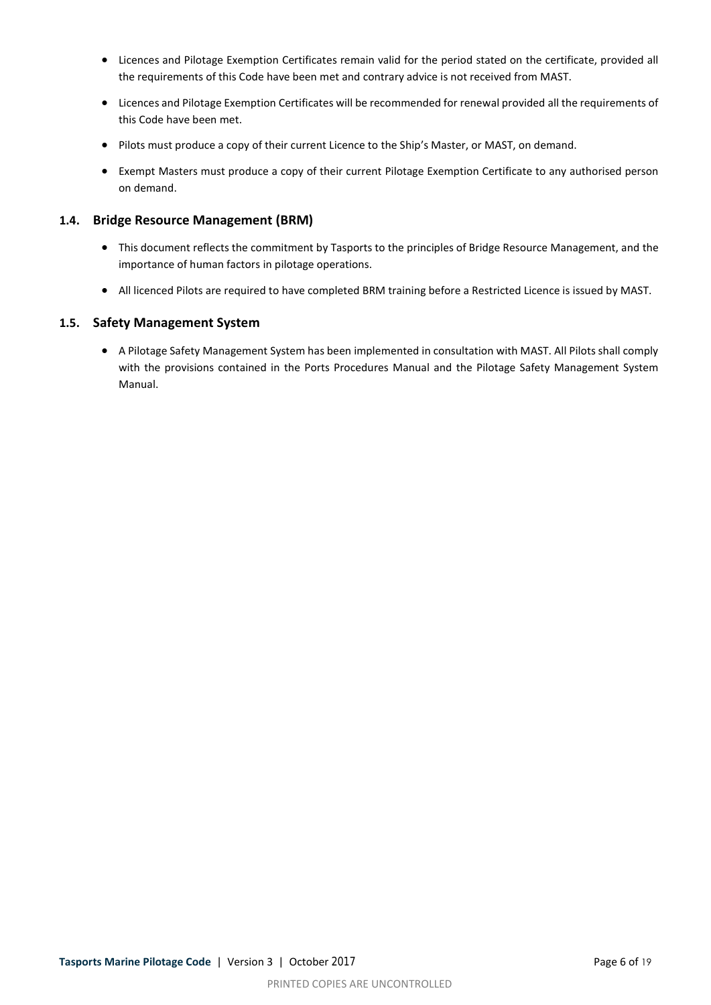- Licences and Pilotage Exemption Certificates remain valid for the period stated on the certificate, provided all the requirements of this Code have been met and contrary advice is not received from MAST.
- Licences and Pilotage Exemption Certificates will be recommended for renewal provided all the requirements of this Code have been met.
- Pilots must produce a copy of their current Licence to the Ship's Master, or MAST, on demand.
- Exempt Masters must produce a copy of their current Pilotage Exemption Certificate to any authorised person on demand.

### 1.4. Bridge Resource Management (BRM)

- This document reflects the commitment by Tasports to the principles of Bridge Resource Management, and the importance of human factors in pilotage operations.
- All licenced Pilots are required to have completed BRM training before a Restricted Licence is issued by MAST.

#### 1.5. Safety Management System

 A Pilotage Safety Management System has been implemented in consultation with MAST. All Pilots shall comply with the provisions contained in the Ports Procedures Manual and the Pilotage Safety Management System Manual.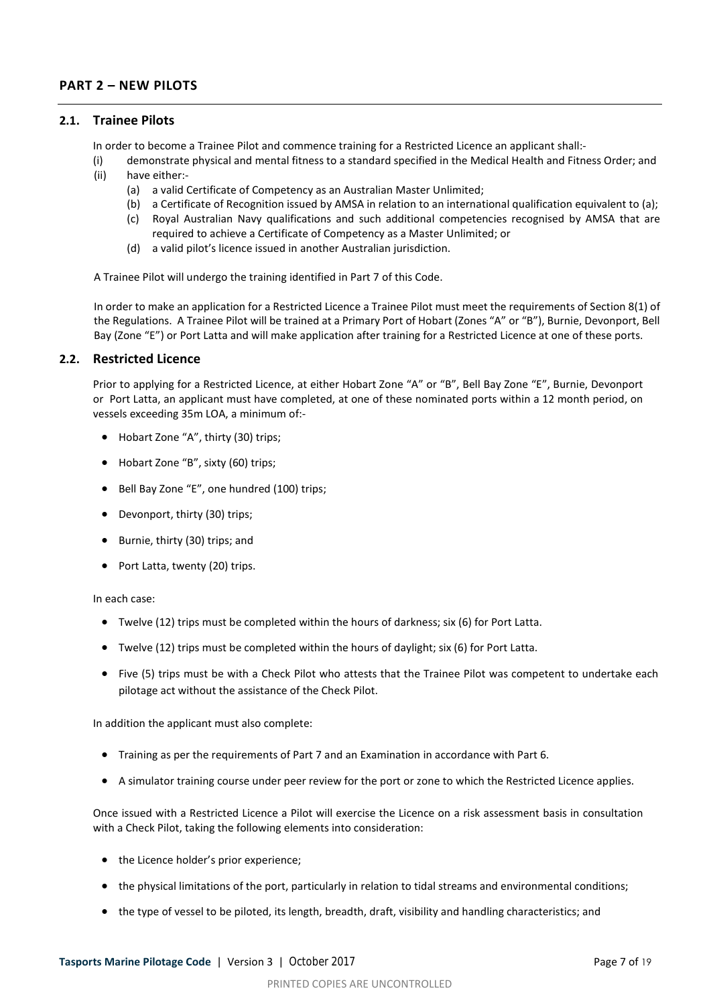# 2.1. Trainee Pilots

In order to become a Trainee Pilot and commence training for a Restricted Licence an applicant shall:-

- (i) demonstrate physical and mental fitness to a standard specified in the Medical Health and Fitness Order; and (ii) have either:-
	- - (a) a valid Certificate of Competency as an Australian Master Unlimited;
		- (b) a Certificate of Recognition issued by AMSA in relation to an international qualification equivalent to (a); (c) Royal Australian Navy qualifications and such additional competencies recognised by AMSA that are
		- required to achieve a Certificate of Competency as a Master Unlimited; or
		- (d) a valid pilot's licence issued in another Australian jurisdiction.

A Trainee Pilot will undergo the training identified in Part 7 of this Code.

In order to make an application for a Restricted Licence a Trainee Pilot must meet the requirements of Section 8(1) of the Regulations. A Trainee Pilot will be trained at a Primary Port of Hobart (Zones "A" or "B"), Burnie, Devonport, Bell Bay (Zone "E") or Port Latta and will make application after training for a Restricted Licence at one of these ports.

#### 2.2. Restricted Licence

Prior to applying for a Restricted Licence, at either Hobart Zone "A" or "B", Bell Bay Zone "E", Burnie, Devonport or Port Latta, an applicant must have completed, at one of these nominated ports within a 12 month period, on vessels exceeding 35m LOA, a minimum of:-

- Hobart Zone "A", thirty (30) trips;
- Hobart Zone "B", sixty (60) trips;
- Bell Bay Zone "E", one hundred (100) trips;
- Devonport, thirty (30) trips;
- Burnie, thirty (30) trips; and
- Port Latta, twenty (20) trips.

In each case:

- Twelve (12) trips must be completed within the hours of darkness; six (6) for Port Latta.
- $\bullet$  Twelve (12) trips must be completed within the hours of daylight; six (6) for Port Latta.
- Five (5) trips must be with a Check Pilot who attests that the Trainee Pilot was competent to undertake each pilotage act without the assistance of the Check Pilot.

In addition the applicant must also complete:

- Training as per the requirements of Part 7 and an Examination in accordance with Part 6.
- A simulator training course under peer review for the port or zone to which the Restricted Licence applies.

Once issued with a Restricted Licence a Pilot will exercise the Licence on a risk assessment basis in consultation with a Check Pilot, taking the following elements into consideration:

- the Licence holder's prior experience;
- the physical limitations of the port, particularly in relation to tidal streams and environmental conditions;
- the type of vessel to be piloted, its length, breadth, draft, visibility and handling characteristics; and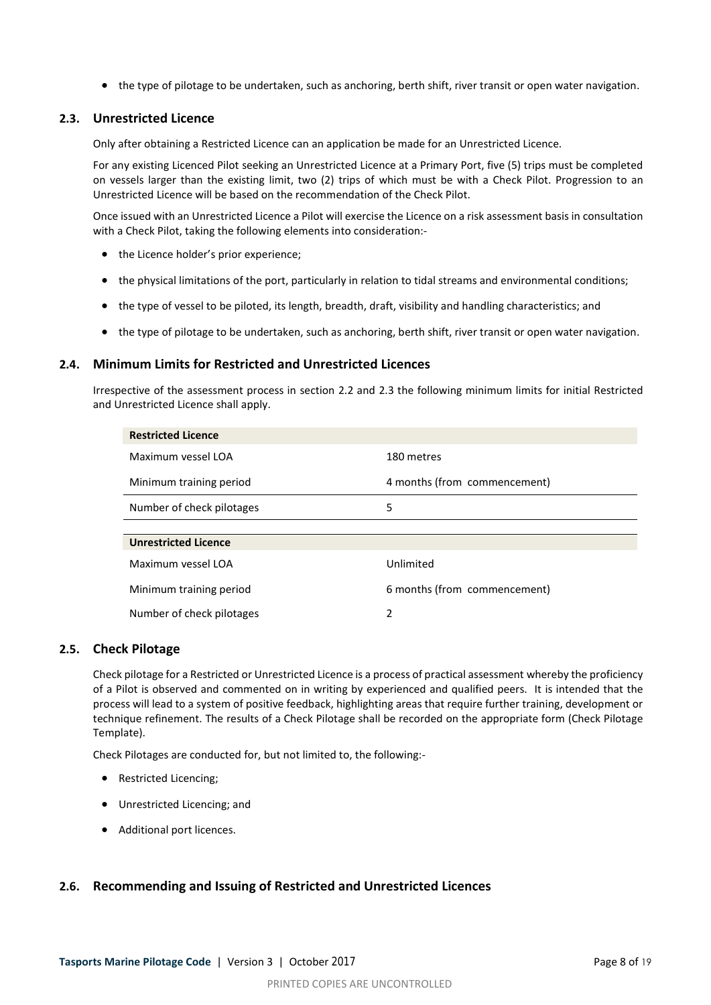• the type of pilotage to be undertaken, such as anchoring, berth shift, river transit or open water navigation.

# 2.3. Unrestricted Licence

Only after obtaining a Restricted Licence can an application be made for an Unrestricted Licence.

For any existing Licenced Pilot seeking an Unrestricted Licence at a Primary Port, five (5) trips must be completed on vessels larger than the existing limit, two (2) trips of which must be with a Check Pilot. Progression to an Unrestricted Licence will be based on the recommendation of the Check Pilot.

Once issued with an Unrestricted Licence a Pilot will exercise the Licence on a risk assessment basis in consultation with a Check Pilot, taking the following elements into consideration:-

- the Licence holder's prior experience;
- the physical limitations of the port, particularly in relation to tidal streams and environmental conditions;
- the type of vessel to be piloted, its length, breadth, draft, visibility and handling characteristics; and
- the type of pilotage to be undertaken, such as anchoring, berth shift, river transit or open water navigation.

# 2.4. Minimum Limits for Restricted and Unrestricted Licences

Irrespective of the assessment process in section 2.2 and 2.3 the following minimum limits for initial Restricted and Unrestricted Licence shall apply.

| <b>Restricted Licence</b>   |                              |
|-----------------------------|------------------------------|
| Maximum vessel LOA          | 180 metres                   |
| Minimum training period     | 4 months (from commencement) |
| Number of check pilotages   | 5                            |
|                             |                              |
| <b>Unrestricted Licence</b> |                              |
|                             |                              |
| Maximum vessel LOA          | Unlimited                    |
| Minimum training period     | 6 months (from commencement) |

# 2.5. Check Pilotage

Check pilotage for a Restricted or Unrestricted Licence is a process of practical assessment whereby the proficiency of a Pilot is observed and commented on in writing by experienced and qualified peers. It is intended that the process will lead to a system of positive feedback, highlighting areas that require further training, development or technique refinement. The results of a Check Pilotage shall be recorded on the appropriate form (Check Pilotage Template).

Check Pilotages are conducted for, but not limited to, the following:-

- Restricted Licencing;
- Unrestricted Licencing; and
- Additional port licences.

# 2.6. Recommending and Issuing of Restricted and Unrestricted Licences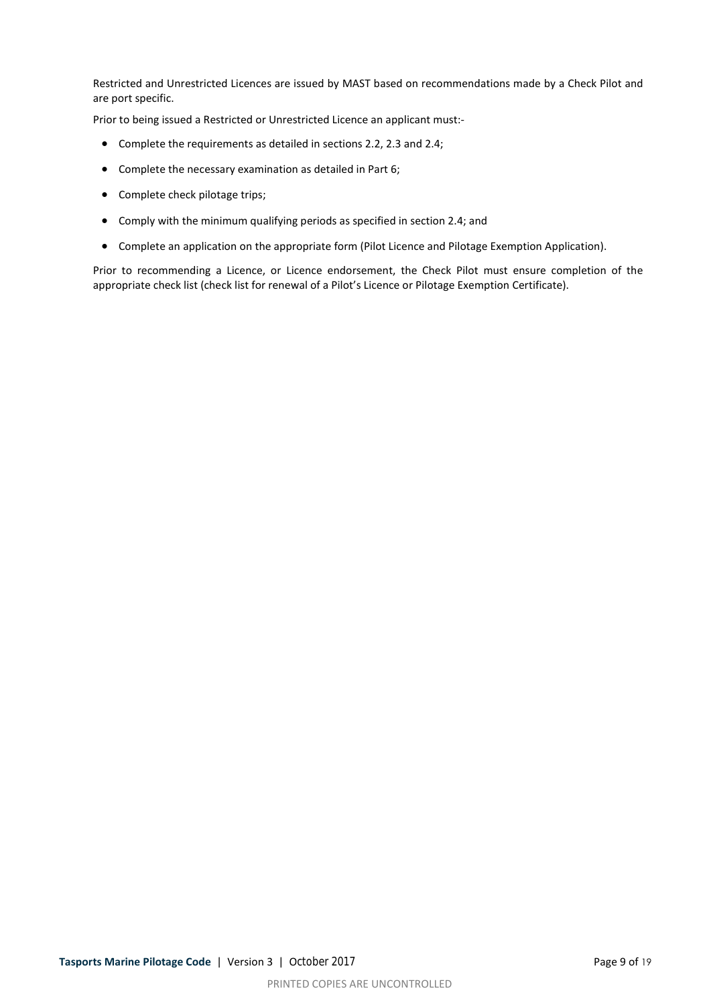Restricted and Unrestricted Licences are issued by MAST based on recommendations made by a Check Pilot and are port specific.

Prior to being issued a Restricted or Unrestricted Licence an applicant must:-

- Complete the requirements as detailed in sections 2.2, 2.3 and 2.4;
- Complete the necessary examination as detailed in Part 6;
- Complete check pilotage trips;
- Comply with the minimum qualifying periods as specified in section 2.4; and
- Complete an application on the appropriate form (Pilot Licence and Pilotage Exemption Application).

Prior to recommending a Licence, or Licence endorsement, the Check Pilot must ensure completion of the appropriate check list (check list for renewal of a Pilot's Licence or Pilotage Exemption Certificate).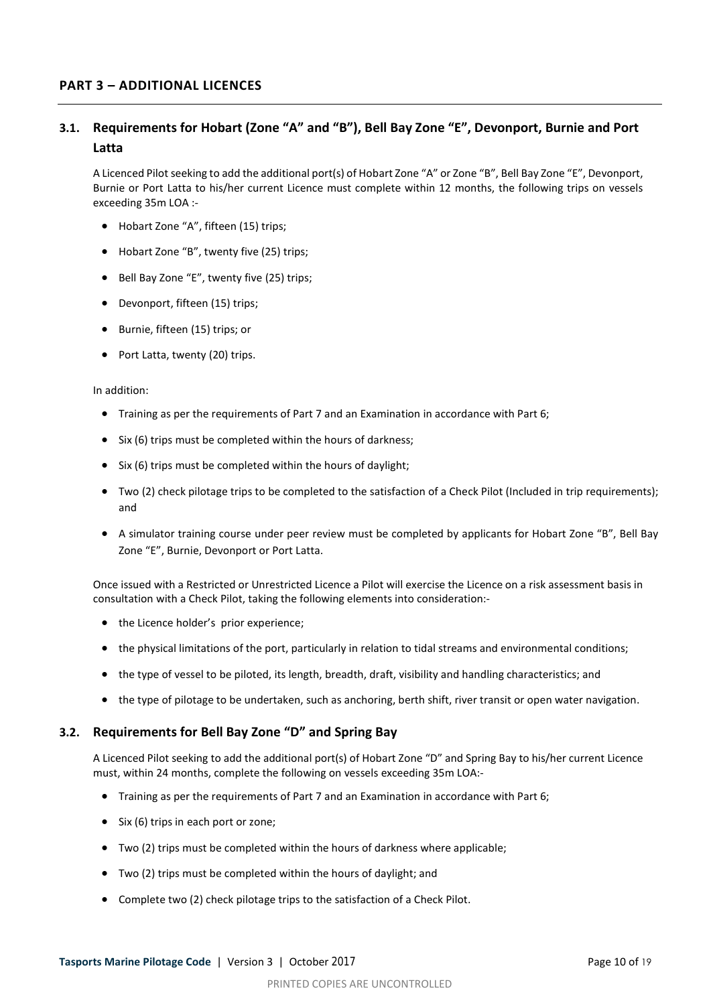# PART 3 – ADDITIONAL LICENCES

# 3.1. Requirements for Hobart (Zone "A" and "B"), Bell Bay Zone "E", Devonport, Burnie and Port Latta

A Licenced Pilot seeking to add the additional port(s) of Hobart Zone "A" or Zone "B", Bell Bay Zone "E", Devonport, Burnie or Port Latta to his/her current Licence must complete within 12 months, the following trips on vessels exceeding 35m LOA :-

- Hobart Zone "A", fifteen (15) trips;
- Hobart Zone "B", twenty five (25) trips;
- Bell Bay Zone "E", twenty five (25) trips;
- Devonport, fifteen (15) trips;
- Burnie, fifteen (15) trips; or
- Port Latta, twenty (20) trips.

#### In addition:

- Training as per the requirements of Part 7 and an Examination in accordance with Part 6;
- $\bullet$  Six (6) trips must be completed within the hours of darkness;
- $\bullet$  Six (6) trips must be completed within the hours of daylight;
- Two (2) check pilotage trips to be completed to the satisfaction of a Check Pilot (Included in trip requirements); and
- A simulator training course under peer review must be completed by applicants for Hobart Zone "B", Bell Bay Zone "E", Burnie, Devonport or Port Latta.

Once issued with a Restricted or Unrestricted Licence a Pilot will exercise the Licence on a risk assessment basis in consultation with a Check Pilot, taking the following elements into consideration:-

- the Licence holder's prior experience;
- the physical limitations of the port, particularly in relation to tidal streams and environmental conditions;
- the type of vessel to be piloted, its length, breadth, draft, visibility and handling characteristics; and
- $\bullet$  the type of pilotage to be undertaken, such as anchoring, berth shift, river transit or open water navigation.

# 3.2. Requirements for Bell Bay Zone "D" and Spring Bay

A Licenced Pilot seeking to add the additional port(s) of Hobart Zone "D" and Spring Bay to his/her current Licence must, within 24 months, complete the following on vessels exceeding 35m LOA:-

- Training as per the requirements of Part 7 and an Examination in accordance with Part 6;
- Six (6) trips in each port or zone;
- Two (2) trips must be completed within the hours of darkness where applicable;
- Two (2) trips must be completed within the hours of daylight; and
- Complete two (2) check pilotage trips to the satisfaction of a Check Pilot.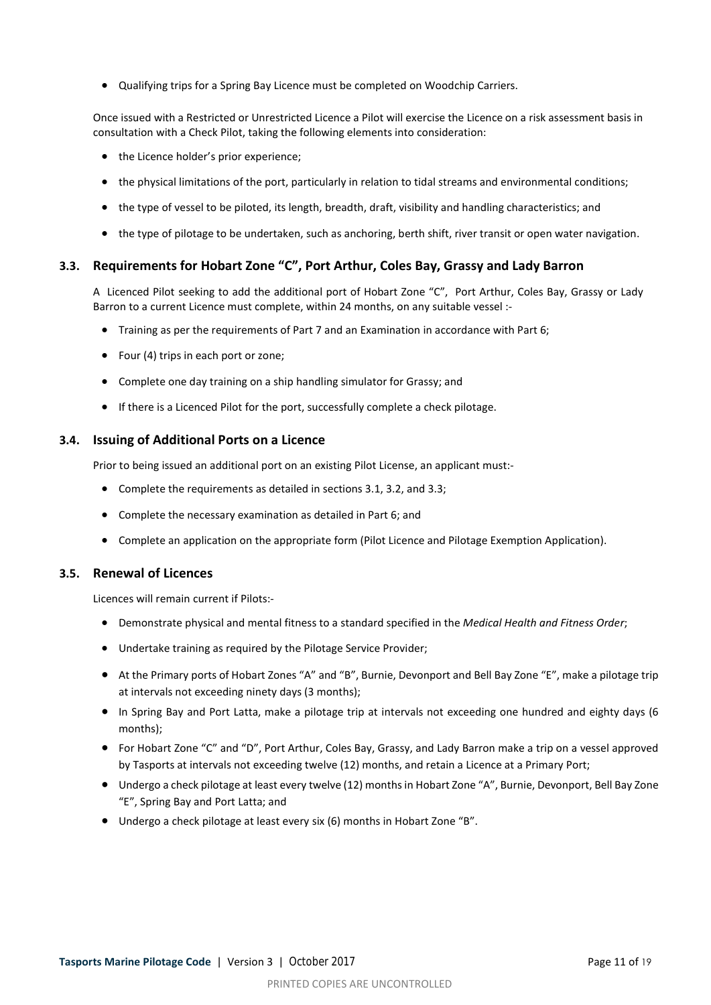Qualifying trips for a Spring Bay Licence must be completed on Woodchip Carriers.

Once issued with a Restricted or Unrestricted Licence a Pilot will exercise the Licence on a risk assessment basis in consultation with a Check Pilot, taking the following elements into consideration:

- the Licence holder's prior experience;
- the physical limitations of the port, particularly in relation to tidal streams and environmental conditions;
- the type of vessel to be piloted, its length, breadth, draft, visibility and handling characteristics; and
- the type of pilotage to be undertaken, such as anchoring, berth shift, river transit or open water navigation.

# 3.3. Requirements for Hobart Zone "C", Port Arthur, Coles Bay, Grassy and Lady Barron

A Licenced Pilot seeking to add the additional port of Hobart Zone "C", Port Arthur, Coles Bay, Grassy or Lady Barron to a current Licence must complete, within 24 months, on any suitable vessel :-

- Training as per the requirements of Part 7 and an Examination in accordance with Part 6;
- Four (4) trips in each port or zone;
- Complete one day training on a ship handling simulator for Grassy; and
- If there is a Licenced Pilot for the port, successfully complete a check pilotage.

#### 3.4. Issuing of Additional Ports on a Licence

Prior to being issued an additional port on an existing Pilot License, an applicant must:-

- Complete the requirements as detailed in sections 3.1, 3.2, and 3.3;
- Complete the necessary examination as detailed in Part 6; and
- Complete an application on the appropriate form (Pilot Licence and Pilotage Exemption Application).

# 3.5. Renewal of Licences

Licences will remain current if Pilots:-

- Demonstrate physical and mental fitness to a standard specified in the Medical Health and Fitness Order;
- Undertake training as required by the Pilotage Service Provider;
- At the Primary ports of Hobart Zones "A" and "B", Burnie, Devonport and Bell Bay Zone "E", make a pilotage trip at intervals not exceeding ninety days (3 months);
- In Spring Bay and Port Latta, make a pilotage trip at intervals not exceeding one hundred and eighty days (6 months);
- For Hobart Zone "C" and "D", Port Arthur, Coles Bay, Grassy, and Lady Barron make a trip on a vessel approved by Tasports at intervals not exceeding twelve (12) months, and retain a Licence at a Primary Port;
- Undergo a check pilotage at least every twelve (12) months in Hobart Zone "A", Burnie, Devonport, Bell Bay Zone "E", Spring Bay and Port Latta; and
- Undergo a check pilotage at least every six (6) months in Hobart Zone "B".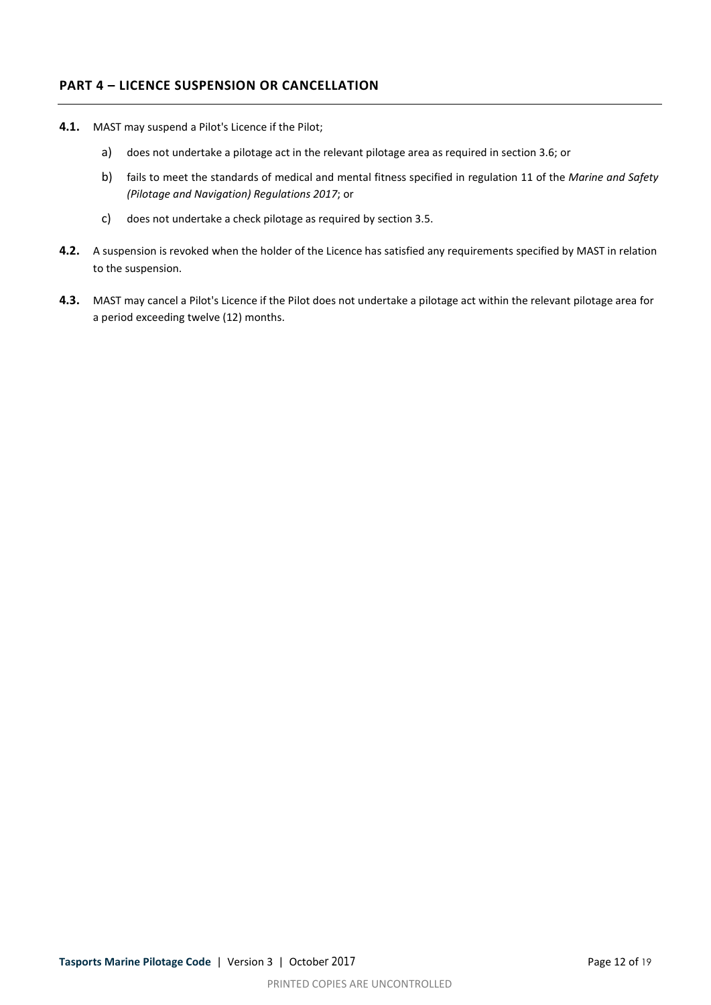- 4.1. MAST may suspend a Pilot's Licence if the Pilot;
	- a) does not undertake a pilotage act in the relevant pilotage area as required in section 3.6; or
	- b) fails to meet the standards of medical and mental fitness specified in regulation 11 of the Marine and Safety (Pilotage and Navigation) Regulations 2017; or
	- c) does not undertake a check pilotage as required by section 3.5.
- 4.2. A suspension is revoked when the holder of the Licence has satisfied any requirements specified by MAST in relation to the suspension.
- 4.3. MAST may cancel a Pilot's Licence if the Pilot does not undertake a pilotage act within the relevant pilotage area for a period exceeding twelve (12) months.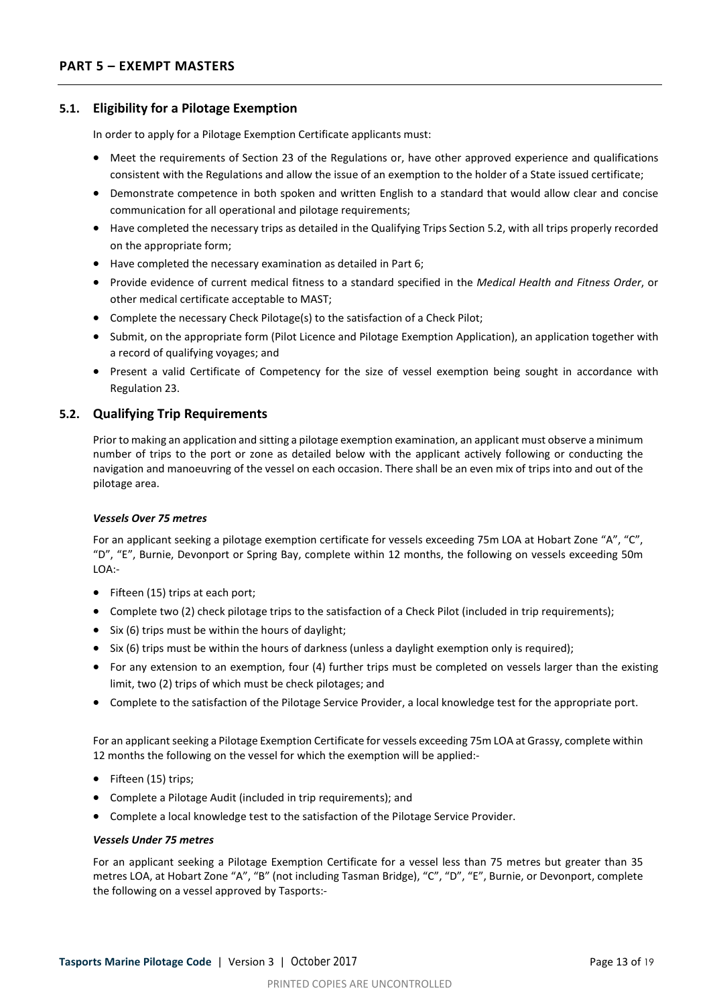# PART 5 – EXEMPT MASTERS

# 5.1. Eligibility for a Pilotage Exemption

In order to apply for a Pilotage Exemption Certificate applicants must:

- Meet the requirements of Section 23 of the Regulations or, have other approved experience and qualifications consistent with the Regulations and allow the issue of an exemption to the holder of a State issued certificate;
- Demonstrate competence in both spoken and written English to a standard that would allow clear and concise communication for all operational and pilotage requirements;
- Have completed the necessary trips as detailed in the Qualifying Trips Section 5.2, with all trips properly recorded on the appropriate form;
- Have completed the necessary examination as detailed in Part 6;
- Provide evidence of current medical fitness to a standard specified in the Medical Health and Fitness Order, or other medical certificate acceptable to MAST;
- Complete the necessary Check Pilotage(s) to the satisfaction of a Check Pilot;
- Submit, on the appropriate form (Pilot Licence and Pilotage Exemption Application), an application together with a record of qualifying voyages; and
- Present a valid Certificate of Competency for the size of vessel exemption being sought in accordance with Regulation 23.

#### 5.2. Qualifying Trip Requirements

Prior to making an application and sitting a pilotage exemption examination, an applicant must observe a minimum number of trips to the port or zone as detailed below with the applicant actively following or conducting the navigation and manoeuvring of the vessel on each occasion. There shall be an even mix of trips into and out of the pilotage area.

#### Vessels Over 75 metres

For an applicant seeking a pilotage exemption certificate for vessels exceeding 75m LOA at Hobart Zone "A", "C", "D", "E", Burnie, Devonport or Spring Bay, complete within 12 months, the following on vessels exceeding 50m LOA:-

- Fifteen (15) trips at each port;
- Complete two (2) check pilotage trips to the satisfaction of a Check Pilot (included in trip requirements);
- $\bullet$  Six (6) trips must be within the hours of daylight;
- $\bullet$  Six (6) trips must be within the hours of darkness (unless a daylight exemption only is required);
- For any extension to an exemption, four (4) further trips must be completed on vessels larger than the existing limit, two (2) trips of which must be check pilotages; and
- Complete to the satisfaction of the Pilotage Service Provider, a local knowledge test for the appropriate port.

For an applicant seeking a Pilotage Exemption Certificate for vessels exceeding 75m LOA at Grassy, complete within 12 months the following on the vessel for which the exemption will be applied:-

- Fifteen (15) trips;
- Complete a Pilotage Audit (included in trip requirements); and
- Complete a local knowledge test to the satisfaction of the Pilotage Service Provider.

#### Vessels Under 75 metres

For an applicant seeking a Pilotage Exemption Certificate for a vessel less than 75 metres but greater than 35 metres LOA, at Hobart Zone "A", "B" (not including Tasman Bridge), "C", "D", "E", Burnie, or Devonport, complete the following on a vessel approved by Tasports:-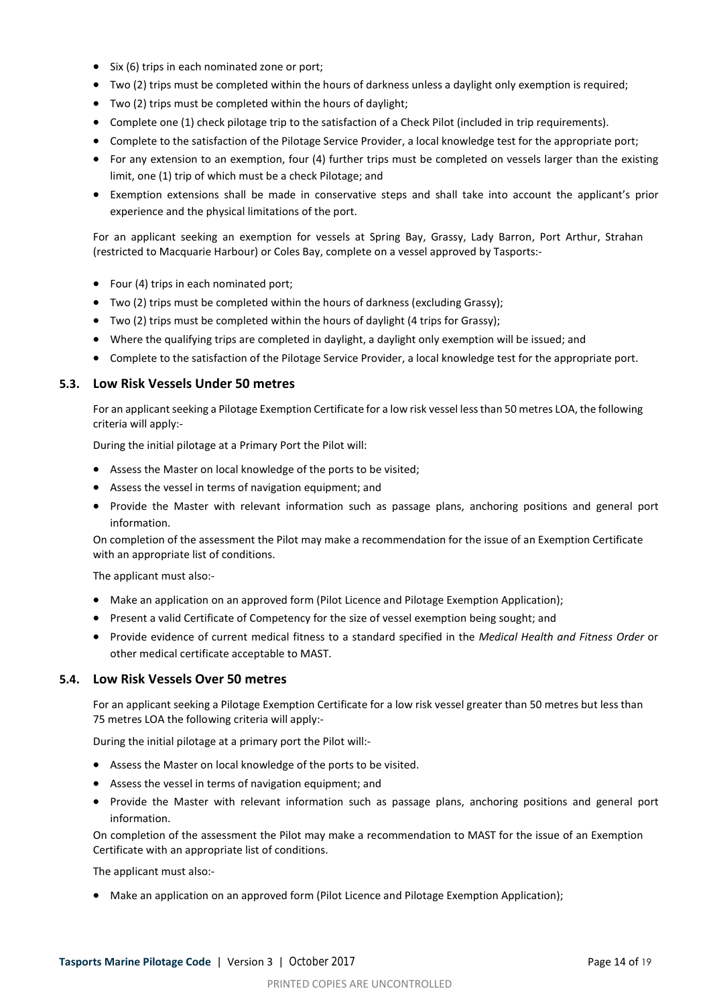- Six (6) trips in each nominated zone or port;
- Two (2) trips must be completed within the hours of darkness unless a daylight only exemption is required;
- Two (2) trips must be completed within the hours of daylight;
- Complete one (1) check pilotage trip to the satisfaction of a Check Pilot (included in trip requirements).
- Complete to the satisfaction of the Pilotage Service Provider, a local knowledge test for the appropriate port;
- For any extension to an exemption, four (4) further trips must be completed on vessels larger than the existing limit, one (1) trip of which must be a check Pilotage; and
- Exemption extensions shall be made in conservative steps and shall take into account the applicant's prior experience and the physical limitations of the port.

For an applicant seeking an exemption for vessels at Spring Bay, Grassy, Lady Barron, Port Arthur, Strahan (restricted to Macquarie Harbour) or Coles Bay, complete on a vessel approved by Tasports:-

- Four (4) trips in each nominated port;
- Two (2) trips must be completed within the hours of darkness (excluding Grassy);
- Two (2) trips must be completed within the hours of daylight (4 trips for Grassy);
- Where the qualifying trips are completed in daylight, a daylight only exemption will be issued; and
- Complete to the satisfaction of the Pilotage Service Provider, a local knowledge test for the appropriate port.

#### 5.3. Low Risk Vessels Under 50 metres

For an applicant seeking a Pilotage Exemption Certificate for a low risk vessel less than 50 metres LOA, the following criteria will apply:-

During the initial pilotage at a Primary Port the Pilot will:

- Assess the Master on local knowledge of the ports to be visited;
- Assess the vessel in terms of navigation equipment; and
- Provide the Master with relevant information such as passage plans, anchoring positions and general port information.

On completion of the assessment the Pilot may make a recommendation for the issue of an Exemption Certificate with an appropriate list of conditions.

The applicant must also:-

- Make an application on an approved form (Pilot Licence and Pilotage Exemption Application);
- Present a valid Certificate of Competency for the size of vessel exemption being sought; and
- Provide evidence of current medical fitness to a standard specified in the Medical Health and Fitness Order or other medical certificate acceptable to MAST.

# 5.4. Low Risk Vessels Over 50 metres

For an applicant seeking a Pilotage Exemption Certificate for a low risk vessel greater than 50 metres but less than 75 metres LOA the following criteria will apply:-

During the initial pilotage at a primary port the Pilot will:-

- Assess the Master on local knowledge of the ports to be visited.
- Assess the vessel in terms of navigation equipment; and
- Provide the Master with relevant information such as passage plans, anchoring positions and general port information.

On completion of the assessment the Pilot may make a recommendation to MAST for the issue of an Exemption Certificate with an appropriate list of conditions.

The applicant must also:-

Make an application on an approved form (Pilot Licence and Pilotage Exemption Application);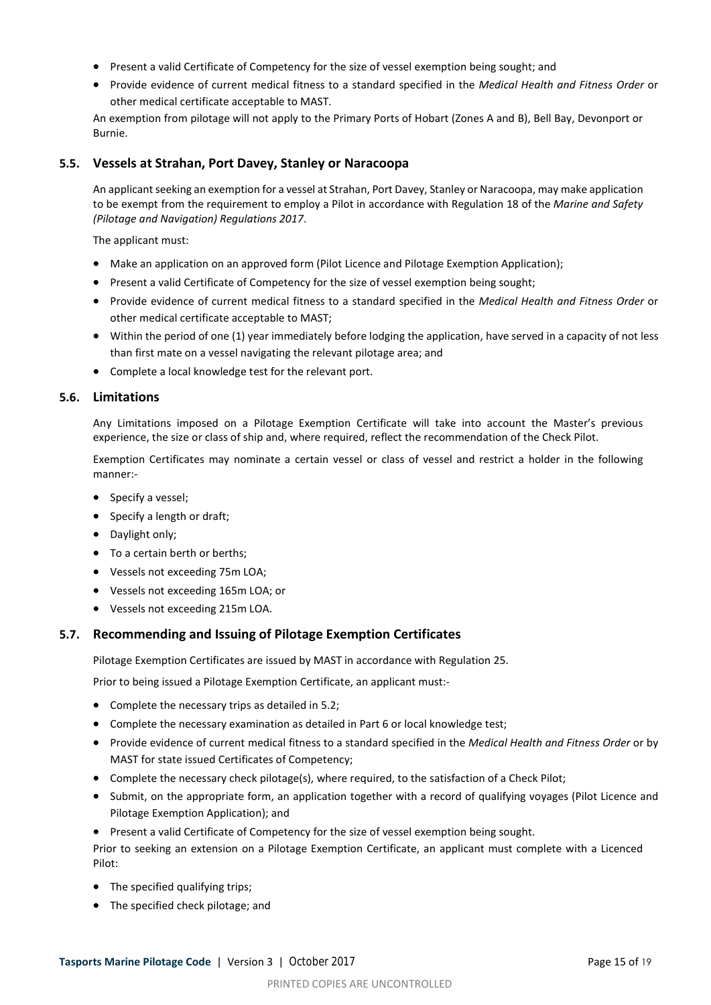- Present a valid Certificate of Competency for the size of vessel exemption being sought; and
- Provide evidence of current medical fitness to a standard specified in the Medical Health and Fitness Order or other medical certificate acceptable to MAST.

An exemption from pilotage will not apply to the Primary Ports of Hobart (Zones A and B), Bell Bay, Devonport or Burnie.

### 5.5. Vessels at Strahan, Port Davey, Stanley or Naracoopa

An applicant seeking an exemption for a vessel at Strahan, Port Davey, Stanley or Naracoopa, may make application to be exempt from the requirement to employ a Pilot in accordance with Regulation 18 of the Marine and Safety (Pilotage and Navigation) Regulations 2017.

The applicant must:

- Make an application on an approved form (Pilot Licence and Pilotage Exemption Application);
- Present a valid Certificate of Competency for the size of vessel exemption being sought;
- Provide evidence of current medical fitness to a standard specified in the Medical Health and Fitness Order or other medical certificate acceptable to MAST;
- Within the period of one (1) year immediately before lodging the application, have served in a capacity of not less than first mate on a vessel navigating the relevant pilotage area; and
- Complete a local knowledge test for the relevant port.

#### 5.6. Limitations

Any Limitations imposed on a Pilotage Exemption Certificate will take into account the Master's previous experience, the size or class of ship and, where required, reflect the recommendation of the Check Pilot.

Exemption Certificates may nominate a certain vessel or class of vessel and restrict a holder in the following manner:-

- Specify a vessel;
- Specify a length or draft;
- Daylight only;
- To a certain berth or berths;
- Vessels not exceeding 75m LOA;
- Vessels not exceeding 165m LOA; or
- Vessels not exceeding 215m LOA.

#### 5.7. Recommending and Issuing of Pilotage Exemption Certificates

Pilotage Exemption Certificates are issued by MAST in accordance with Regulation 25.

Prior to being issued a Pilotage Exemption Certificate, an applicant must:-

- Complete the necessary trips as detailed in 5.2;
- Complete the necessary examination as detailed in Part 6 or local knowledge test;
- Provide evidence of current medical fitness to a standard specified in the Medical Health and Fitness Order or by MAST for state issued Certificates of Competency;
- Complete the necessary check pilotage(s), where required, to the satisfaction of a Check Pilot;
- Submit, on the appropriate form, an application together with a record of qualifying voyages (Pilot Licence and Pilotage Exemption Application); and
- Present a valid Certificate of Competency for the size of vessel exemption being sought.

Prior to seeking an extension on a Pilotage Exemption Certificate, an applicant must complete with a Licenced Pilot:

- The specified qualifying trips;
- The specified check pilotage; and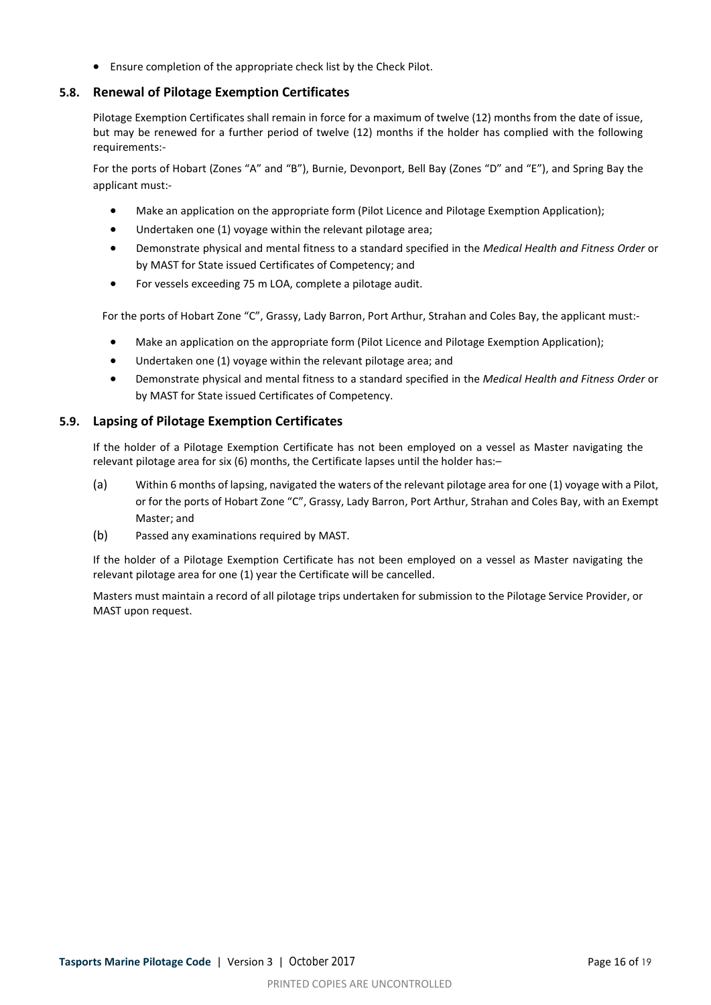Ensure completion of the appropriate check list by the Check Pilot.

# 5.8. Renewal of Pilotage Exemption Certificates

Pilotage Exemption Certificates shall remain in force for a maximum of twelve (12) months from the date of issue, but may be renewed for a further period of twelve (12) months if the holder has complied with the following requirements:-

For the ports of Hobart (Zones "A" and "B"), Burnie, Devonport, Bell Bay (Zones "D" and "E"), and Spring Bay the applicant must:-

- Make an application on the appropriate form (Pilot Licence and Pilotage Exemption Application);
- Undertaken one (1) voyage within the relevant pilotage area;
- Demonstrate physical and mental fitness to a standard specified in the Medical Health and Fitness Order or by MAST for State issued Certificates of Competency; and
- For vessels exceeding 75 m LOA, complete a pilotage audit.

For the ports of Hobart Zone "C", Grassy, Lady Barron, Port Arthur, Strahan and Coles Bay, the applicant must:-

- Make an application on the appropriate form (Pilot Licence and Pilotage Exemption Application);
- Undertaken one (1) voyage within the relevant pilotage area; and
- Demonstrate physical and mental fitness to a standard specified in the Medical Health and Fitness Order or by MAST for State issued Certificates of Competency.

# 5.9. Lapsing of Pilotage Exemption Certificates

If the holder of a Pilotage Exemption Certificate has not been employed on a vessel as Master navigating the relevant pilotage area for six (6) months, the Certificate lapses until the holder has:–

- (a) Within 6 months of lapsing, navigated the waters of the relevant pilotage area for one (1) voyage with a Pilot, or for the ports of Hobart Zone "C", Grassy, Lady Barron, Port Arthur, Strahan and Coles Bay, with an Exempt Master; and
- (b) Passed any examinations required by MAST.

If the holder of a Pilotage Exemption Certificate has not been employed on a vessel as Master navigating the relevant pilotage area for one (1) year the Certificate will be cancelled.

Masters must maintain a record of all pilotage trips undertaken for submission to the Pilotage Service Provider, or MAST upon request.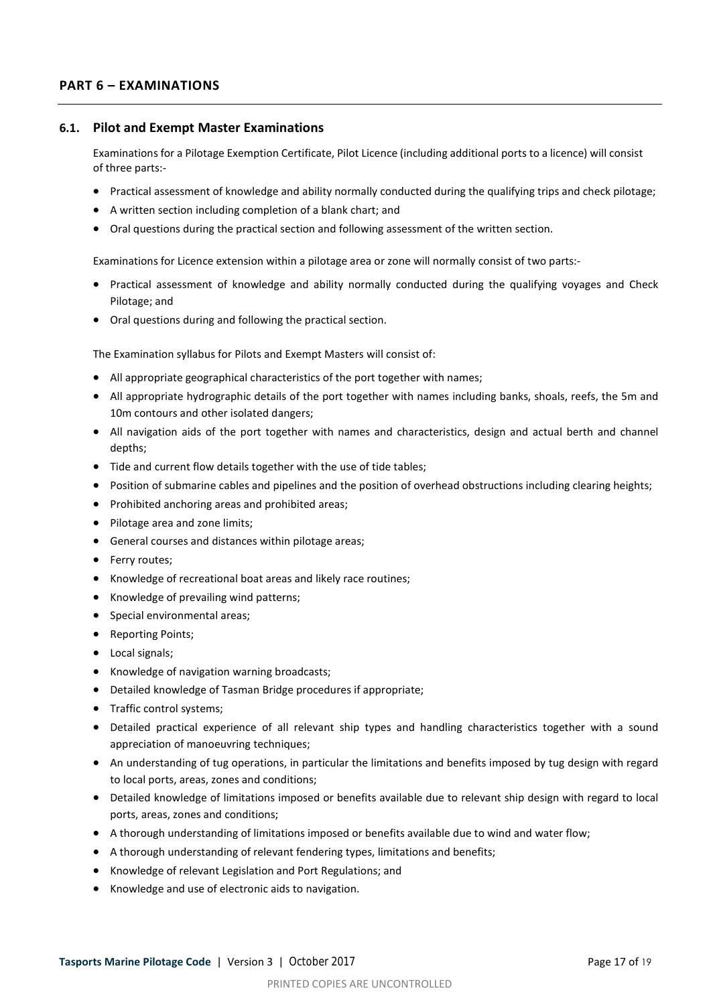#### 6.1. Pilot and Exempt Master Examinations

Examinations for a Pilotage Exemption Certificate, Pilot Licence (including additional ports to a licence) will consist of three parts:-

- Practical assessment of knowledge and ability normally conducted during the qualifying trips and check pilotage;
- A written section including completion of a blank chart; and
- Oral questions during the practical section and following assessment of the written section.

Examinations for Licence extension within a pilotage area or zone will normally consist of two parts:-

- Practical assessment of knowledge and ability normally conducted during the qualifying voyages and Check Pilotage; and
- Oral questions during and following the practical section.

The Examination syllabus for Pilots and Exempt Masters will consist of:

- All appropriate geographical characteristics of the port together with names;
- All appropriate hydrographic details of the port together with names including banks, shoals, reefs, the 5m and 10m contours and other isolated dangers;
- All navigation aids of the port together with names and characteristics, design and actual berth and channel depths;
- Tide and current flow details together with the use of tide tables;
- Position of submarine cables and pipelines and the position of overhead obstructions including clearing heights;
- Prohibited anchoring areas and prohibited areas;
- Pilotage area and zone limits;
- General courses and distances within pilotage areas;
- Ferry routes;
- Knowledge of recreational boat areas and likely race routines;
- Knowledge of prevailing wind patterns;
- Special environmental areas;
- Reporting Points;
- Local signals;
- Knowledge of navigation warning broadcasts;
- Detailed knowledge of Tasman Bridge procedures if appropriate;
- Traffic control systems;
- Detailed practical experience of all relevant ship types and handling characteristics together with a sound appreciation of manoeuvring techniques;
- An understanding of tug operations, in particular the limitations and benefits imposed by tug design with regard to local ports, areas, zones and conditions;
- Detailed knowledge of limitations imposed or benefits available due to relevant ship design with regard to local ports, areas, zones and conditions;
- A thorough understanding of limitations imposed or benefits available due to wind and water flow;
- A thorough understanding of relevant fendering types, limitations and benefits;
- Knowledge of relevant Legislation and Port Regulations; and
- Knowledge and use of electronic aids to navigation.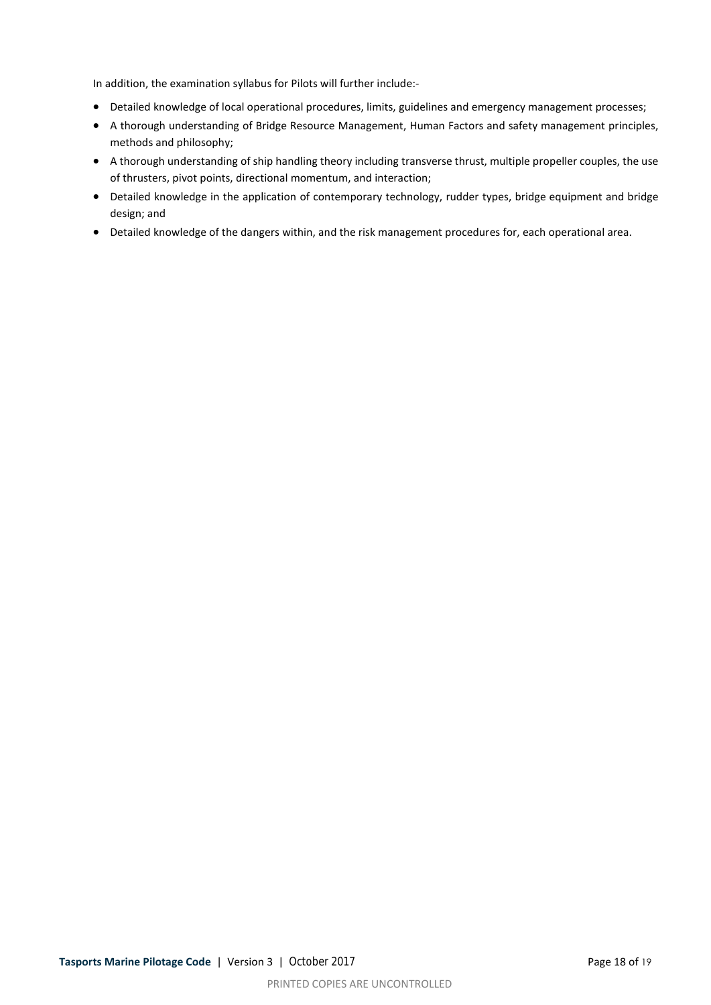In addition, the examination syllabus for Pilots will further include:-

- Detailed knowledge of local operational procedures, limits, guidelines and emergency management processes;
- A thorough understanding of Bridge Resource Management, Human Factors and safety management principles, methods and philosophy;
- A thorough understanding of ship handling theory including transverse thrust, multiple propeller couples, the use of thrusters, pivot points, directional momentum, and interaction;
- Detailed knowledge in the application of contemporary technology, rudder types, bridge equipment and bridge design; and
- Detailed knowledge of the dangers within, and the risk management procedures for, each operational area.